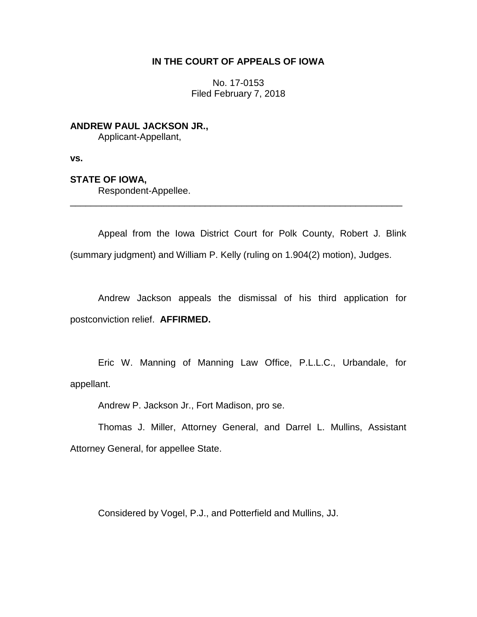## **IN THE COURT OF APPEALS OF IOWA**

No. 17-0153 Filed February 7, 2018

**ANDREW PAUL JACKSON JR.,** Applicant-Appellant,

**vs.**

## **STATE OF IOWA,**

Respondent-Appellee.

Appeal from the Iowa District Court for Polk County, Robert J. Blink (summary judgment) and William P. Kelly (ruling on 1.904(2) motion), Judges.

\_\_\_\_\_\_\_\_\_\_\_\_\_\_\_\_\_\_\_\_\_\_\_\_\_\_\_\_\_\_\_\_\_\_\_\_\_\_\_\_\_\_\_\_\_\_\_\_\_\_\_\_\_\_\_\_\_\_\_\_\_\_\_\_

Andrew Jackson appeals the dismissal of his third application for postconviction relief. **AFFIRMED.** 

Eric W. Manning of Manning Law Office, P.L.L.C., Urbandale, for appellant.

Andrew P. Jackson Jr., Fort Madison, pro se.

Thomas J. Miller, Attorney General, and Darrel L. Mullins, Assistant Attorney General, for appellee State.

Considered by Vogel, P.J., and Potterfield and Mullins, JJ.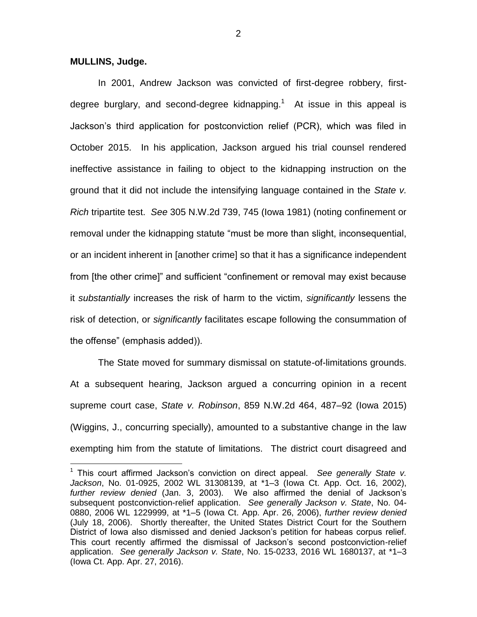## **MULLINS, Judge.**

 $\overline{a}$ 

In 2001, Andrew Jackson was convicted of first-degree robbery, firstdegree burglary, and second-degree kidnapping.<sup>1</sup> At issue in this appeal is Jackson's third application for postconviction relief (PCR), which was filed in October 2015. In his application, Jackson argued his trial counsel rendered ineffective assistance in failing to object to the kidnapping instruction on the ground that it did not include the intensifying language contained in the *State v. Rich* tripartite test. *See* 305 N.W.2d 739, 745 (Iowa 1981) (noting confinement or removal under the kidnapping statute "must be more than slight, inconsequential, or an incident inherent in [another crime] so that it has a significance independent from [the other crime]" and sufficient "confinement or removal may exist because it *substantially* increases the risk of harm to the victim, *significantly* lessens the risk of detection, or *significantly* facilitates escape following the consummation of the offense" (emphasis added)).

The State moved for summary dismissal on statute-of-limitations grounds. At a subsequent hearing, Jackson argued a concurring opinion in a recent supreme court case, *State v. Robinson*, 859 N.W.2d 464, 487–92 (Iowa 2015) (Wiggins, J., concurring specially), amounted to a substantive change in the law exempting him from the statute of limitations. The district court disagreed and

<sup>&</sup>lt;sup>1</sup> This court affirmed Jackson's conviction on direct appeal. See generally State v. *Jackson*, No. 01-0925, 2002 WL 31308139, at \*1–3 (Iowa Ct. App. Oct. 16, 2002), *further review denied* (Jan. 3, 2003). We also affirmed the denial of Jackson's subsequent postconviction-relief application. *See generally Jackson v. State*, No. 04- 0880, 2006 WL 1229999, at \*1–5 (Iowa Ct. App. Apr. 26, 2006), *further review denied* (July 18, 2006). Shortly thereafter, the United States District Court for the Southern District of Iowa also dismissed and denied Jackson's petition for habeas corpus relief. This court recently affirmed the dismissal of Jackson's second postconviction-relief application. *See generally Jackson v. State*, No. 15-0233, 2016 WL 1680137, at \*1–3 (Iowa Ct. App. Apr. 27, 2016).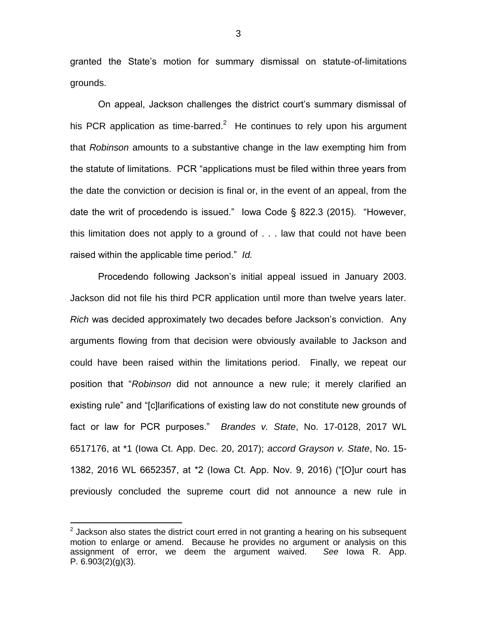granted the State's motion for summary dismissal on statute-of-limitations grounds.

On appeal, Jackson challenges the district court's summary dismissal of his PCR application as time-barred.<sup>2</sup> He continues to rely upon his argument that *Robinson* amounts to a substantive change in the law exempting him from the statute of limitations. PCR "applications must be filed within three years from the date the conviction or decision is final or, in the event of an appeal, from the date the writ of procedendo is issued." Iowa Code § 822.3 (2015). "However, this limitation does not apply to a ground of . . . law that could not have been raised within the applicable time period." *Id.*

Procedendo following Jackson's initial appeal issued in January 2003. Jackson did not file his third PCR application until more than twelve years later. *Rich* was decided approximately two decades before Jackson's conviction. Any arguments flowing from that decision were obviously available to Jackson and could have been raised within the limitations period. Finally, we repeat our position that "*Robinson* did not announce a new rule; it merely clarified an existing rule" and "[c]larifications of existing law do not constitute new grounds of fact or law for PCR purposes." *Brandes v. State*, No. 17-0128, 2017 WL 6517176, at \*1 (Iowa Ct. App. Dec. 20, 2017); *accord Grayson v. State*, No. 15- 1382, 2016 WL 6652357, at \*2 (Iowa Ct. App. Nov. 9, 2016) ("[O]ur court has previously concluded the supreme court did not announce a new rule in

 $\overline{a}$ 

 $2$  Jackson also states the district court erred in not granting a hearing on his subsequent motion to enlarge or amend. Because he provides no argument or analysis on this assignment of error, we deem the argument waived. *See* Iowa R. App. P.  $6.903(2)(g)(3)$ .